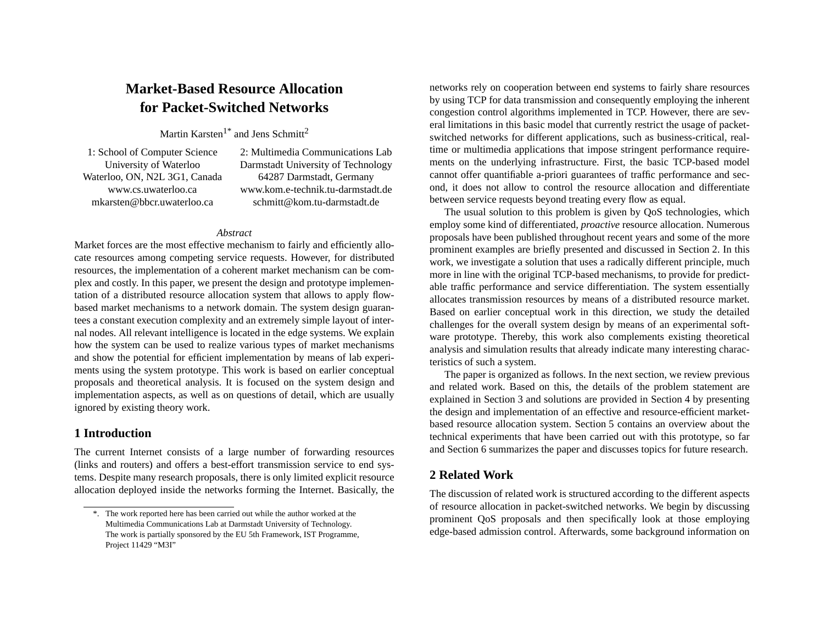# **Market-Based Resource Allocationfor Packet-Switched Networks**

Martin Karsten<sup>1\*</sup> and Jens Schmitt<sup>2</sup>

1: School of Computer Science University of Waterloo Waterloo, ON, N2L 3G1, Canada www.cs.uwaterloo.camkarsten@bbcr.uwaterloo.ca

2: Multimedia Communications Lab Darmstadt University of Technology 64287 Darmstadt, Germany www.kom.e-technik.tu-darmstadt.deschmitt@kom.tu-darmstadt.de

#### *Abstract*

Market forces are the most effective mechanism to fairly and efficiently allocate resources among competing service requests. However, for distributed resources, the implementation of <sup>a</sup> coherent market mechanism can be complex and costly. In this paper, we presen<sup>t</sup> the design and prototype implementation of <sup>a</sup> distributed resource allocation system that allows to apply flowbased market mechanisms to <sup>a</sup> network domain. The system design guarantees <sup>a</sup> constant execution complexity and an extremely simple layout of internal nodes. All relevant intelligence is located in the edge systems. We explain how the system can be used to realize various types of market mechanisms and show the potential for efficient implementation by means of lab experiments using the system prototype. This work is based on earlier conceptual proposals and theoretical analysis. It is focused on the system design and implementation aspects, as well as on questions of detail, which are usually ignored by existing theory work.

# **1 Introduction**

The current Internet consists of <sup>a</sup> large number of forwarding resources (links and routers) and offers <sup>a</sup> best-effort transmission service to end systems. Despite many research proposals, there is only limited explicit resource allocation deployed inside the networks forming the Internet. Basically, the networks rely on cooperation between end systems to fairly share resources by using TCP for data transmission and consequently employing the inherent congestion control algorithms implemented in TCP. However, there are several limitations in this basic model that currently restrict the usage of packetswitched networks for different applications, such as business-critical, realtime or multimedia applications that impose stringent performance requirements on the underlying infrastructure. First, the basic TCP-based model cannot offer quantifiable a-priori guarantees of traffic performance and second, it does not allow to control the resource allocation and differentiate between service requests beyond treating every flow as equal.

The usual solution to this problem is given by QoS technologies, which employ some kind of differentiated, *proactive* resource allocation. Numerous proposals have been published throughout recent years and some of the more prominent examples are briefly presented and discussed in Section 2. In this work, we investigate <sup>a</sup> solution that uses <sup>a</sup> radically different principle, much more in line with the original TCP-based mechanisms, to provide for predictable traffic performance and service differentiation. The system essentially allocates transmission resources by means of <sup>a</sup> distributed resource market. Based on earlier conceptual work in this direction, we study the detailed challenges for the overall system design by means of an experimental software prototype. Thereby, this work also complements existing theoretical analysis and simulation results that already indicate many interesting characteristics of such a system.

The paper is organized as follows. In the next section, we review previous and related work. Based on this, the details of the problem statement are explained in [Section](#page-2-0) 3 and solutions are provided in [Section](#page-3-0) 4 by presenting the design and implementation of an effective and resource-efficient marketbased resource allocation system. [Section](#page-7-0) 5 contains an overview about the technical experiments that have been carried out with this prototype, so far and [Section](#page-8-0) 6 summarizes the paper and discusses topics for future research.

# **2 Related Work**

The discussion of related work is structured according to the different aspects of resource allocation in packet-switched networks. We begin by discussing prominent QoS proposals and then specifically look at those employing edge-based admission control. Afterwards, some background information on

<sup>\*.</sup> The work reported here has been carried out while the author worked at the Multimedia Communications Lab at Darmstadt University of Technology. The work is partially sponsored by the EU 5th Framework, IST Programme, Project 11429 "M3I"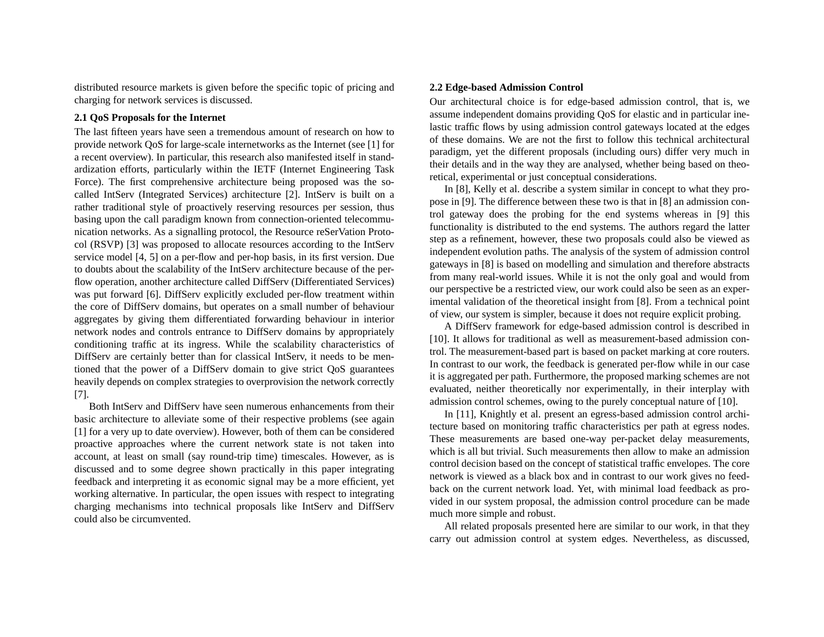distributed resource markets is given before the specific topic of pricing and charging for network services is discussed.

### **2.1 QoS Proposals for the Internet**

The last fifteen years have seen <sup>a</sup> tremendous amount of research on how to provide network QoS for large-scale internetworks as the Internet (see [1] for <sup>a</sup> recent overview). In particular, this research also manifested itself in standardization efforts, particularly within the IETF (Internet Engineering Task Force). The first comprehensive architecture being proposed was the socalled IntServ (Integrated Services) architecture [2]. IntServ is built on <sup>a</sup> rather traditional style of proactively reserving resources per session, thus basing upon the call paradigm known from connection-oriented telecommunication networks. As <sup>a</sup> signalling protocol, the Resource reSerVation Protocol (RSVP) [3] was proposed to allocate resources according to the IntServ service model [4, 5] on <sup>a</sup> per-flow and per-hop basis, in its first version. Due to doubts about the scalability of the IntServ architecture because of the perflow operation, another architecture called DiffServ (Differentiated Services) was pu<sup>t</sup> forward [6]. DiffServ explicitly excluded per-flow treatment within the core of DiffServ domains, but operates on <sup>a</sup> small number of behaviour aggregates by giving them differentiated forwarding behaviour in interior network nodes and controls entrance to DiffServ domains by appropriately conditioning traffic at its ingress. While the scalability characteristics of DiffServ are certainly better than for classical IntServ, it needs to be mentioned that the power of <sup>a</sup> DiffServ domain to give strict QoS guarantees heavily depends on complex strategies to overprovision the network correctly [7].

Both IntServ and DiffServ have seen numerous enhancements from their basic architecture to alleviate some of their respective problems (see again [1] for <sup>a</sup> very up to date overview). However, both of them can be considered proactive approaches where the current network state is not taken into account, at least on small (say round-trip time) timescales. However, as is discussed and to some degree shown practically in this paper integrating feedback and interpreting it as economic signal may be <sup>a</sup> more efficient, ye<sup>t</sup> working alternative. In particular, the open issues with respec<sup>t</sup> to integrating charging mechanisms into technical proposals like IntServ and DiffServ could also be circumvented.

#### **2.2 Edge-based Admission Control**

Our architectural choice is for edge-based admission control, that is, we assume independent domains providing QoS for elastic and in particular inelastic traffic flows by using admission control gateways located at the edges of these domains. We are not the first to follow this technical architectural paradigm, ye<sup>t</sup> the different proposals (including ours) differ very much in their details and in the way they are analysed, whether being based on theoretical, experimental or just conceptual considerations.

In [8], Kelly et al. describe <sup>a</sup> system similar in concep<sup>t</sup> to what they propose in [9]. The difference between these two is that in [8] an admission control gateway does the probing for the end systems whereas in [9] this functionality is distributed to the end systems. The authors regard the latter step as <sup>a</sup> refinement, however, these two proposals could also be viewed as independent evolution paths. The analysis of the system of admission control gateways in [8] is based on modelling and simulation and therefore abstracts from many real-world issues. While it is not the only goal and would from our perspective be <sup>a</sup> restricted view, our work could also be seen as an experimental validation of the theoretical insight from [8]. From <sup>a</sup> technical point of view, our system is simpler, because it does not require explicit probing.

A DiffServ framework for edge-based admission control is described in [10]. It allows for traditional as well as measurement-based admission control. The measurement-based par<sup>t</sup> is based on packet marking at core routers. In contrast to our work, the feedback is generated per-flow while in our case it is aggregated per path. Furthermore, the proposed marking schemes are not evaluated, neither theoretically nor experimentally, in their interplay with admission control schemes, owing to the purely conceptual nature of [10].

In [11], Knightly et al. presen<sup>t</sup> an egress-based admission control architecture based on monitoring traffic characteristics per path at egress nodes. These measurements are based one-way per-packet delay measurements, which is all but trivial. Such measurements then allow to make an admissioncontrol decision based on the concep<sup>t</sup> of statistical traffic envelopes. The core network is viewed as <sup>a</sup> black box and in contrast to our work gives no feedback on the current network load. Yet, with minimal load feedback as provided in our system proposal, the admission control procedure can be made much more simple and robust.

All related proposals presented here are similar to our work, in that they carry out admission control at system edges. Nevertheless, as discussed,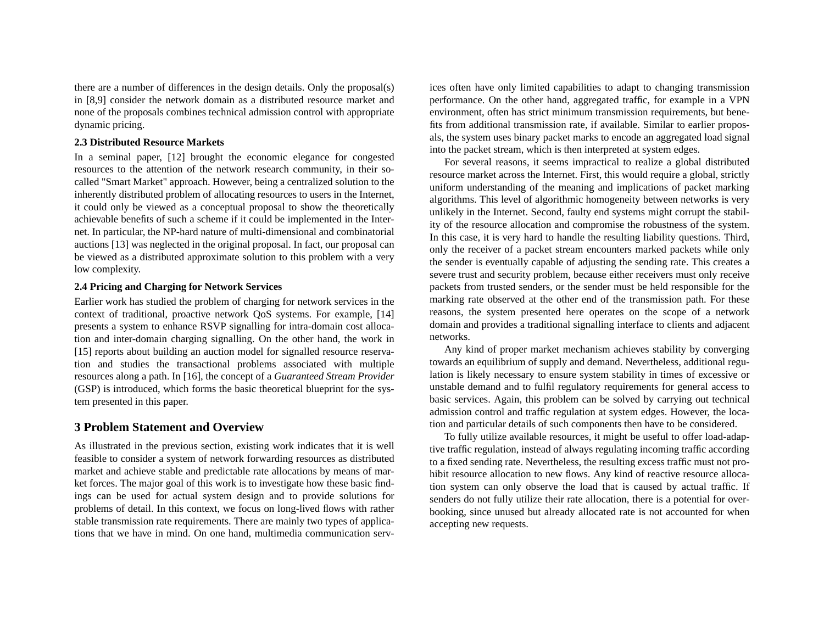<span id="page-2-0"></span>there are <sup>a</sup> number of differences in the design details. Only the proposal(s) in [8,9] consider the network domain as <sup>a</sup> distributed resource market and none of the proposals combines technical admission control with appropriate dynamic pricing.

### **2.3 Distributed Resource Markets**

In <sup>a</sup> seminal paper, [12] brought the economic elegance for congested resources to the attention of the network research community, in their socalled "Smart Market" approach. However, being <sup>a</sup> centralized solution to the inherently distributed problem of allocating resources to users in the Internet, it could only be viewed as <sup>a</sup> conceptual proposal to show the theoretically achievable benefits of such <sup>a</sup> scheme if it could be implemented in the Internet. In particular, the NP-hard nature of multi-dimensional and combinatorial auctions [13] was neglected in the original proposal. In fact, our proposal can be viewed as <sup>a</sup> distributed approximate solution to this problem with <sup>a</sup> very low complexity.

### **2.4 Pricing and Charging for Network Services**

Earlier work has studied the problem of charging for network services in the context of traditional, proactive network QoS systems. For example, [14] presents <sup>a</sup> system to enhance RSVP signalling for intra-domain cost allocation and inter-domain charging signalling. On the other hand, the work in [15] reports about building an auction model for signalled resource reservation and studies the transactional problems associated with multiple resources along <sup>a</sup> path. In [16], the concep<sup>t</sup> of <sup>a</sup> *Guaranteed Stream Provider* (GSP) is introduced, which forms the basic theoretical blueprint for the system presented in this paper.

# **3 Problem Statement and Overview**

As illustrated in the previous section, existing work indicates that it is well feasible to consider <sup>a</sup> system of network forwarding resources as distributed market and achieve stable and predictable rate allocations by means of market forces. The major goal of this work is to investigate how these basic findings can be used for actual system design and to provide solutions for problems of detail. In this context, we focus on long-lived flows with rather stable transmission rate requirements. There are mainly two types of applications that we have in mind. On one hand, multimedia communication services often have only limited capabilities to adapt to changing transmission performance. On the other hand, aggregated traffic, for example in <sup>a</sup> VPN environment, often has strict minimum transmission requirements, but bene fits from additional transmission rate, if available. Similar to earlier propos als, the system uses binary packet marks to encode an aggregated load signal into the packet stream, which is then interpreted at system edges.

For several reasons, it seems impractical to realize <sup>a</sup> global distributed resource market across the Internet. First, this would require <sup>a</sup> global, strictly uniform understanding of the meaning and implications of packet marking algorithms. This level of algorithmic homogeneity between networks is very unlikely in the Internet. Second, faulty end systems might corrup<sup>t</sup> the stabil ity of the resource allocation and compromise the robustness of the system. In this case, it is very hard to handle the resulting liability questions. Third, only the receiver of <sup>a</sup> packet stream encounters marked packets while only the sender is eventually capable of adjusting the sending rate. This creates <sup>a</sup> severe trust and security problem, because either receivers must only receive packets from trusted senders, or the sender must be held responsible for the marking rate observed at the other end of the transmission path. For these reasons, the system presented here operates on the scope of <sup>a</sup> network domain and provides <sup>a</sup> traditional signalling interface to clients and adjacent networks.

Any kind of proper market mechanism achieves stability by converging towards an equilibrium of supply and demand. Nevertheless, additional regu lation is likely necessary to ensure system stability in times of excessive or unstable demand and to fulfil regulatory requirements for general access to basic services. Again, this problem can be solved by carrying out technical admission control and traffic regulation at system edges. However, the loca tion and particular details of such components then have to be considered.

To fully utilize available resources, it might be useful to offer load-adap tive traffic regulation, instead of always regulating incoming traffic according to <sup>a</sup> fixed sending rate. Nevertheless, the resulting excess traffic must not pro hibit resource allocation to new flows. Any kind of reactive resource alloca tion system can only observe the load that is caused by actual traffic. If senders do not fully utilize their rate allocation, there is <sup>a</sup> potential for over booking, since unused but already allocated rate is not accounted for when accepting new requests.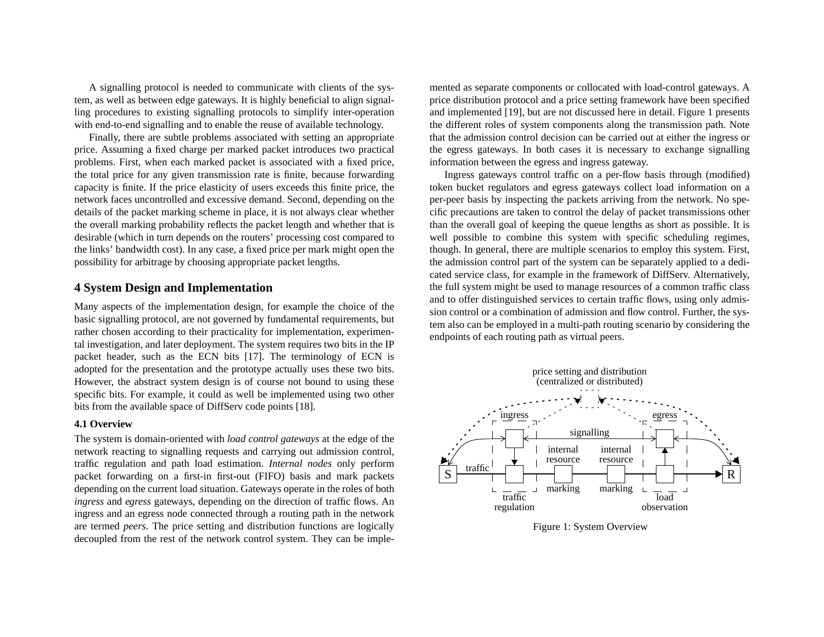<span id="page-3-0"></span>A signalling protocol is needed to communicate with clients of the system, as well as between edge gateways. It is highly beneficial to align signalling procedures to existing signalling protocols to simplify inter-operation with end-to-end signalling and to enable the reuse of available technology.

Finally, there are subtle problems associated with setting an appropriate price. Assuming <sup>a</sup> fixed charge per marked packet introduces two practical problems. First, when each marked packet is associated with <sup>a</sup> fixed price, the total price for any given transmission rate is finite, because forwarding capacity is finite. If the price elasticity of users exceeds this finite price, the network faces uncontrolled and excessive demand. Second, depending on the details of the packet marking scheme in place, it is not always clear whether the overall marking probability reflects the packet length and whether that is desirable (which in turn depends on the routers' processing cost compared to the links' bandwidth cost). In any case, <sup>a</sup> fixed price per mark might open the possibility for arbitrage by choosing appropriate packet lengths.

# **4 System Design and Implementation**

Many aspects of the implementation design, for example the choice of the basic signalling protocol, are not governed by fundamental requirements, but rather chosen according to their practicality for implementation, experimental investigation, and later deployment. The system requires two bits in the IP packet header, such as the ECN bits [17]. The terminology of ECN is adopted for the presentation and the prototype actually uses these two bits. However, the abstract system design is of course not bound to using these specific bits. For example, it could as well be implemented using two other bits from the available space of DiffServ code points [18].

### **4.1 Overview**

The system is domain-oriented with *load control gateways* at the edge of the network reacting to signalling requests and carrying out admission control, traffic regulation and path load estimation. *Internal nodes* only perform packet forwarding on <sup>a</sup> first-in first-out (FIFO) basis and mark packets depending on the current load situation. Gateways operate in the roles of both *ingress* and *egress* gateways, depending on the direction of traffic flows. An ingress and an egress node connected through <sup>a</sup> routing path in the network are termed *peers*. The price setting and distribution functions are logically decoupled from the rest of the network control system. They can be implemented as separate components or collocated with load-control gateways. A price distribution protocol and <sup>a</sup> price setting framework have been specified and implemented [19], but are not discussed here in detail. Figure 1 presents the different roles of system components along the transmission path. Note that the admission control decision can be carried out at either the ingress or the egress gateways. In both cases it is necessary to exchange signalling information between the egress and ingress gateway.

Ingress gateways control traffic on <sup>a</sup> per-flow basis through (modified) token bucket regulators and egress gateways collect load information on <sup>a</sup> per-peer basis by inspecting the packets arriving from the network. No spe cific precautions are taken to control the delay of packet transmissions other than the overall goal of keeping the queue lengths as short as possible. It is well possible to combine this system with specific scheduling regimes, though. In general, there are multiple scenarios to employ this system. First, the admission control par<sup>t</sup> of the system can be separately applied to <sup>a</sup> dedi cated service class, for example in the framework of DiffServ. Alternatively, the full system might be used to manage resources of <sup>a</sup> common traffic class and to offer distinguished services to certain traffic flows, using only admis sion control or <sup>a</sup> combination of admission and flow control. Further, the sys tem also can be employed in <sup>a</sup> multi-path routing scenario by considering the endpoints of each routing path as virtual peers.



Figure 1: System Overview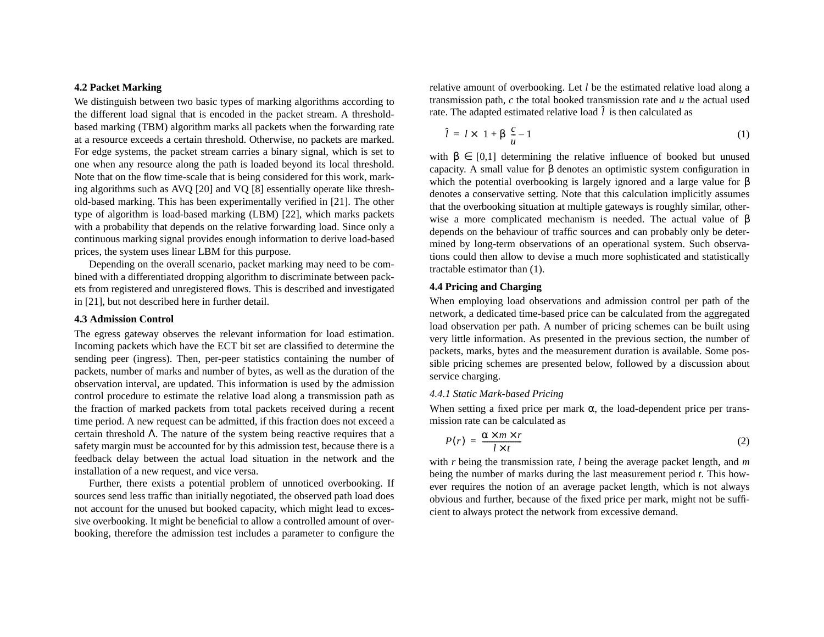# <span id="page-4-0"></span>**4.2 Packet Marking**

We distinguish between two basic types of marking algorithms according to the different load signal that is encoded in the packet stream. A thresholdbased marking (TBM) algorithm marks all packets when the forwarding rate at <sup>a</sup> resource exceeds <sup>a</sup> certain threshold. Otherwise, no packets are marked. For edge systems, the packet stream carries <sup>a</sup> binary signal, which is set to one when any resource along the path is loaded beyond its local threshold. Note that on the flow time-scale that is being considered for this work, marking algorithms such as AVQ [20] and VQ [8] essentially operate like threshold-based marking. This has been experimentally verified in [21]. The other type of algorithm is load-based marking (LBM) [22], which marks packets with <sup>a</sup> probability that depends on the relative forwarding load. Since only <sup>a</sup> continuous marking signal provides enough information to derive load-based prices, the system uses linear LBM for this purpose.

Depending on the overall scenario, packet marking may need to be combined with <sup>a</sup> differentiated dropping algorithm to discriminate between packets from registered and unregistered flows. This is described and investigated in [21], but not described here in further detail.

# **4.3 Admission Control**

The egress gateway observes the relevant information for load estimation. Incoming packets which have the ECT bit set are classified to determine the sending peer (ingress). Then, per-peer statistics containing the number of packets, number of marks and number of bytes, as well as the duration of the observation interval, are updated. This information is used by the admission control procedure to estimate the relative load along <sup>a</sup> transmission path as the fraction of marked packets from total packets received during <sup>a</sup> recent time period. A new reques<sup>t</sup> can be admitted, if this fraction does not exceed <sup>a</sup> certain threshold Λ. The nature of the system being reactive requires that <sup>a</sup> safety margin must be accounted for by this admission test, because there is <sup>a</sup> feedback delay between the actual load situation in the network and the installation of a new request, and vice versa.

Further, there exists <sup>a</sup> potential problem of unnoticed overbooking. If sources send less traffic than initially negotiated, the observed path load does not account for the unused but booked capacity, which might lead to excessive overbooking. It might be beneficial to allow <sup>a</sup> controlled amount of overbooking, therefore the admission test includes <sup>a</sup> parameter to configure the relative amount of overbooking. Let *l* be the estimated relative load along <sup>a</sup> transmission path, *<sup>c</sup>* the total booked transmission rate and *<sup>u</sup>* the actual used rate. The adapted estimated relative load  $l$  is then calculated as ˆ

$$
\hat{l} = l \times \left(1 + \beta \left(\frac{c}{u} - 1\right)\right) \tag{1}
$$

with  $\beta \in [0,1]$  determining the relative influence of booked but unused capacity. A small value for β denotes an optimistic system configuration in which the potential overbooking is largely ignored and a large value for β denotes <sup>a</sup> conservative setting. Note that this calculation implicitly assumes that the overbooking situation at multiple gateways is roughly similar, otherwise a more complicated mechanism is needed. The actual value of β depends on the behaviour of traffic sources and can probably only be determined by long-term observations of an operational system. Such observations could then allow to devise <sup>a</sup> much more sophisticated and statistically tractable estimator than (1).

# **4.4 Pricing and Charging**

When employing load observations and admission control per path of the network, <sup>a</sup> dedicated time-based price can be calculated from the aggregated load observation per path. A number of pricing schemes can be built using very little information. As presented in the previous section, the number of packets, marks, bytes and the measurement duration is available. Some possible pricing schemes are presented below, followed by <sup>a</sup> discussion about service charging.

#### *4.4.1 Static Mark-based Pricing*

When setting a fixed price per mark  $\alpha$ , the load-dependent price per transmission rate can be calculated as

$$
P(r) = \frac{\alpha \times m \times r}{l \times t} \tag{2}
$$

with *<sup>r</sup>* being the transmission rate, *l* being the average packet length, and *m* being the number of marks during the last measurement period *<sup>t</sup>*. This however requires the notion of an average packet length, which is not always obvious and further, because of the fixed price per mark, might not be sufficient to always protect the network from excessive demand.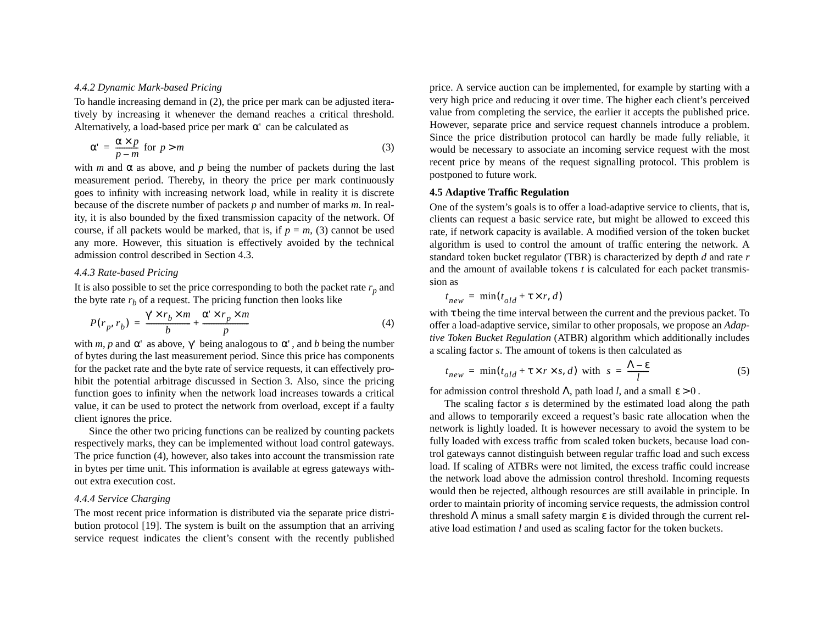#### <span id="page-5-0"></span>*4.4.2 Dynamic Mark-based Pricing*

To handle increasing demand in [\(2\)](#page-4-0), the price per mark can be adjusted iteratively by increasing it whenever the demand reaches <sup>a</sup> critical threshold. Alternatively, a load-based price per mark  $\alpha'$  can be calculated as

$$
\alpha' = \frac{\alpha \times p}{p - m} \text{ for } p > m \tag{3}
$$

with *m* and  $\alpha$  as above, and *p* being the number of packets during the last measurement period. Thereby, in theory the price per mark continuously goes to infinity with increasing network load, while in reality it is discrete because of the discrete number of packets *p* and number of marks *<sup>m</sup>*. In reality, it is also bounded by the fixed transmission capacity of the network. Of course, if all packets would be marked, that is, if  $p = m$ , (3) cannot be used any more. However, this situation is effectively avoided by the technical admission control described in [Section](#page-4-0) 4.3.

### *4.4.3 Rate-based Pricing*

It is also possible to set the price corresponding to both the packet rate  $r_p$  and the byte rate  $r_b$  of a request. The pricing function then looks like

$$
P(r_p, r_b) = \frac{\gamma' \times r_b \times m}{b} + \frac{\alpha' \times r_p \times m}{p}
$$
 (4)

with *m*, *p* and  $\alpha'$  as above,  $\gamma'$  being analogous to  $\alpha'$ , and *b* being the number of bytes during the last measurement period. Since this price has components for the packet rate and the byte rate of service requests, it can effectively prohibit the potential arbitrage discussed in [Section](#page-2-0) 3. Also, since the pricing function goes to infinity when the network load increases towards <sup>a</sup> critical value, it can be used to protect the network from overload, excep<sup>t</sup> if <sup>a</sup> faulty client ignores the price.

Since the other two pricing functions can be realized by counting packets respectively marks, they can be implemented without load control gateways. The price function (4), however, also takes into account the transmission rate in bytes per time unit. This information is available at egress gateways without extra execution cost.

### *4.4.4 Service Charging*

The most recent price information is distributed via the separate price distribution protocol [19]. The system is built on the assumption that an arriving service reques<sup>t</sup> indicates the client's consent with the recently published

price. A service auction can be implemented, for example by starting with <sup>a</sup> very high price and reducing it over time. The higher each client's perceived value from completing the service, the earlier it accepts the published price. However, separate price and service reques<sup>t</sup> channels introduce <sup>a</sup> problem. Since the price distribution protocol can hardly be made fully reliable, it would be necessary to associate an incoming service reques<sup>t</sup> with the most recent price by means of the reques<sup>t</sup> signalling protocol. This problem is postponed to future work.

### **4.5 Adaptive Traffic Regulation**

One of the system's goals is to offer <sup>a</sup> load-adaptive service to clients, that is, clients can reques<sup>t</sup> <sup>a</sup> basic service rate, but might be allowed to exceed this rate, if network capacity is available. A modified version of the token bucket algorithm is used to control the amount of traffic entering the network. A standard token bucket regulator (TBR) is characterized by depth *d* and rate *<sup>r</sup>* and the amount of available tokens *<sup>t</sup>* is calculated for each packet transmission as

$$
t_{new} = \min(t_{old} + \tau \times r, d)
$$

with <sup>τ</sup> being the time interval between the current and the previous packet. To offer <sup>a</sup> load-adaptive service, similar to other proposals, we propose an *Adaptive Token Bucket Regulation* (ATBR) algorithm which additionally includes a scaling factor *<sup>s</sup>*. The amount of tokens is then calculated as

$$
t_{new} = \min(t_{old} + \tau \times r \times s, d) \text{ with } s = \frac{\Lambda - \varepsilon}{l}
$$
 (5)

for admission control threshold  $\Lambda$ , path load *l*, and a small  $\epsilon > 0$  .

The scaling factor *<sup>s</sup>* is determined by the estimated load along the path and allows to temporarily exceed <sup>a</sup> request's basic rate allocation when the network is lightly loaded. It is however necessary to avoid the system to be fully loaded with excess traffic from scaled token buckets, because load control gateways cannot distinguish between regular traffic load and such excess load. If scaling of ATBRs were not limited, the excess traffic could increase the network load above the admission control threshold. Incoming requests would then be rejected, although resources are still available in principle. In order to maintain priority of incoming service requests, the admission control threshold  $\Lambda$  minus a small safety margin  $\varepsilon$  is divided through the current relative load estimation *l* and used as scaling factor for the token buckets.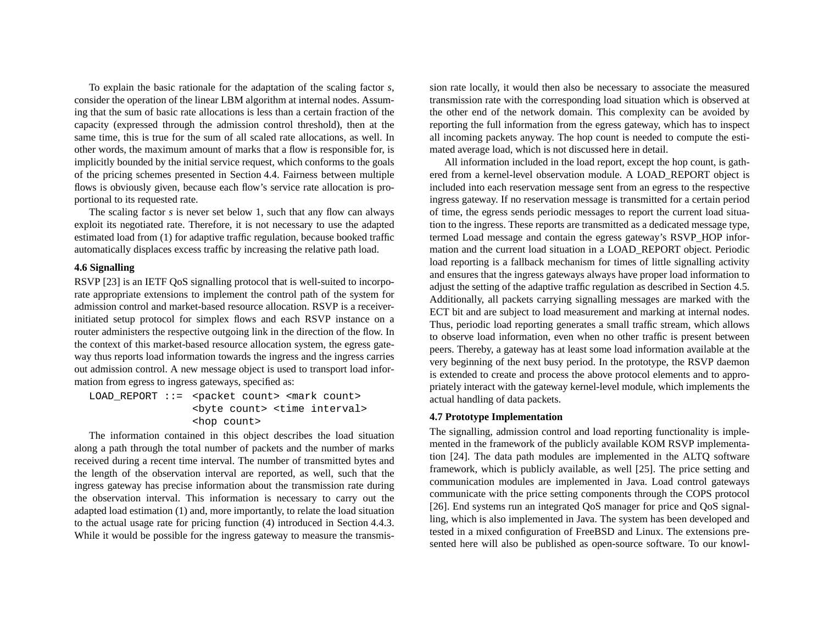To explain the basic rationale for the adaptation of the scaling factor *<sup>s</sup>*, consider the operation of the linear LBM algorithm at internal nodes. Assuming that the sum of basic rate allocations is less than <sup>a</sup> certain fraction of the capacity (expressed through the admission control threshold), then at the same time, this is true for the sum of all scaled rate allocations, as well. In other words, the maximum amount of marks that <sup>a</sup> flow is responsible for, is implicitly bounded by the initial service request, which conforms to the goals of the pricing schemes presented in [Section](#page-4-0) 4.4. Fairness between multiple flows is obviously given, because each flow's service rate allocation is proportional to its requested rate.

The scaling factor *<sup>s</sup>* is never set below 1, such that any flow can always exploit its negotiated rate. Therefore, it is not necessary to use the adapted estimated load from [\(1\)](#page-4-0) for adaptive traffic regulation, because booked traffic automatically displaces excess traffic by increasing the relative path load.

# **4.6 Signalling**

RSVP [23] is an IETF OoS signalling protocol that is well-suited to incorporate appropriate extensions to implement the control path of the system for admission control and market-based resource allocation. RSVP is <sup>a</sup> receiverinitiated setup protocol for simplex flows and each RSVP instance on <sup>a</sup> router administers the respective outgoing link in the direction of the flow. In the context of this market-based resource allocation system, the egress gateway thus reports load information towards the ingress and the ingress carries out admission control. A new message object is used to transport load information from egress to ingress gateways, specified as:

LOAD\_REPORT ::= <packet count> <mark count> <byte count> <time interval> <hop count>

The information contained in this object describes the load situation along <sup>a</sup> path through the total number of packets and the number of marks received during <sup>a</sup> recent time interval. The number of transmitted bytes and the length of the observation interval are reported, as well, such that the ingress gateway has precise information about the transmission rate during the observation interval. This information is necessary to carry out the adapted load estimation [\(1\)](#page-4-0) and, more importantly, to relate the load situation to the actual usage rate for pricing function [\(4\)](#page-5-0) introduced in [Section](#page-5-0) 4.4.3. While it would be possible for the ingress gateway to measure the transmis-

sion rate locally, it would then also be necessary to associate the measured transmission rate with the corresponding load situation which is observed at the other end of the network domain. This complexity can be avoided by reporting the full information from the egress gateway, which has to inspect all incoming packets anyway. The hop count is needed to compute the esti mated average load, which is not discussed here in detail.

All information included in the load report, excep<sup>t</sup> the hop count, is gath ered from <sup>a</sup> kernel-level observation module. A LOAD\_REPORT object is included into each reservation message sent from an egress to the respective ingress gateway. If no reservation message is transmitted for <sup>a</sup> certain period of time, the egress sends periodic messages to repor<sup>t</sup> the current load situa tion to the ingress. These reports are transmitted as <sup>a</sup> dedicated message type, termed Load message and contain the egress gateway's RSVP\_HOP infor mation and the current load situation in <sup>a</sup> LOAD\_REPORT object. Periodic load reporting is <sup>a</sup> fallback mechanism for times of little signalling activity and ensures that the ingress gateways always have proper load information to adjust the setting of the adaptive traffic regulation as described in [Section](#page-5-0) 4.5. Additionally, all packets carrying signalling messages are marked with the ECT bit and are subject to load measurement and marking at internal nodes. Thus, periodic load reporting generates <sup>a</sup> small traffic stream, which allows to observe load information, even when no other traffic is presen<sup>t</sup> between peers. Thereby, <sup>a</sup> gateway has at least some load information available at the very beginning of the next busy period. In the prototype, the RSVP daemon is extended to create and process the above protocol elements and to appro priately interact with the gateway kernel-level module, which implements the actual handling of data packets.

#### **4.7 Prototype Implementation**

The signalling, admission control and load reporting functionality is imple mented in the framework of the publicly available KOM RSVP implementa tion [24]. The data path modules are implemented in the ALTQ software framework, which is publicly available, as well [25]. The price setting and communication modules are implemented in Java. Load control gateways communicate with the price setting components through the COPS protocol [26]. End systems run an integrated QoS manager for price and QoS signal ling, which is also implemented in Java. The system has been developed and tested in <sup>a</sup> mixed configuration of FreeBSD and Linux. The extensions pre sented here will also be published as open-source software. To our knowl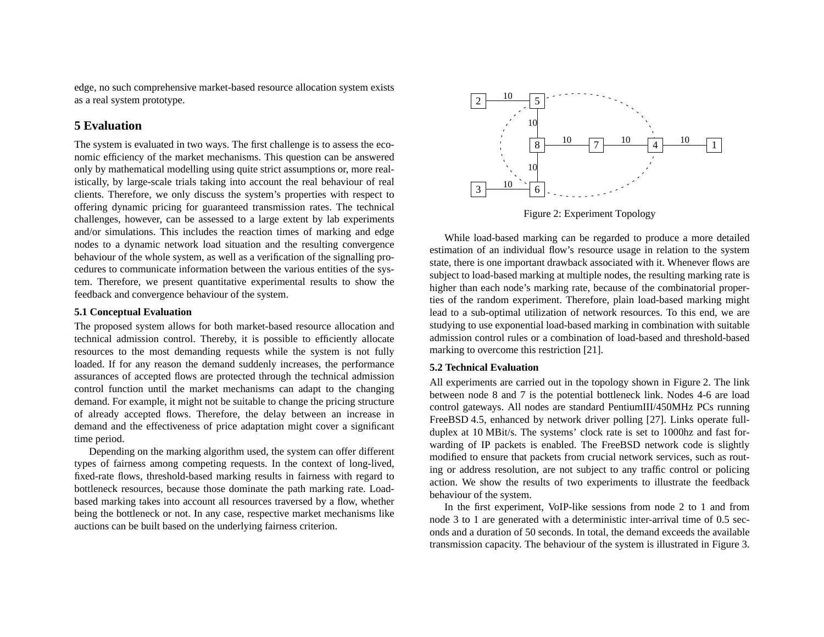<span id="page-7-0"></span>edge, no such comprehensive market-based resource allocation system exists as a real system prototype.

# **5 Evaluation**

The system is evaluated in two ways. The first challenge is to assess the economic efficiency of the market mechanisms. This question can be answered only by mathematical modelling using quite strict assumptions or, more realistically, by large-scale trials taking into account the real behaviour of real clients. Therefore, we only discuss the system's properties with respec<sup>t</sup> to offering dynamic pricing for guaranteed transmission rates. The technical challenges, however, can be assessed to <sup>a</sup> large extent by lab experiments and/or simulations. This includes the reaction times of marking and edge nodes to <sup>a</sup> dynamic network load situation and the resulting convergence behaviour of the whole system, as well as <sup>a</sup> verification of the signalling procedures to communicate information between the various entities of the system. Therefore, we presen<sup>t</sup> quantitative experimental results to show the feedback and convergence behaviour of the system.

### **5.1 Conceptual Evaluation**

The proposed system allows for both market-based resource allocation and technical admission control. Thereby, it is possible to efficiently allocate resources to the most demanding requests while the system is not fully loaded. If for any reason the demand suddenly increases, the performance assurances of accepted flows are protected through the technical admission control function until the market mechanisms can adapt to the changing demand. For example, it might not be suitable to change the pricing structure of already accepted flows. Therefore, the delay between an increase in demand and the effectiveness of price adaptation might cover <sup>a</sup> significant time period.

Depending on the marking algorithm used, the system can offer different types of fairness among competing requests. In the context of long-lived, fixed-rate flows, threshold-based marking results in fairness with regard to bottleneck resources, because those dominate the path marking rate. Loadbased marking takes into account all resources traversed by <sup>a</sup> flow, whether being the bottleneck or not. In any case, respective market mechanisms like auctions can be built based on the underlying fairness criterion.



Figure 2: Experiment Topology

While load-based marking can be regarded to produce <sup>a</sup> more detailed estimation of an individual flow's resource usage in relation to the system state, there is one important drawback associated with it. Whenever flows are subject to load-based marking at multiple nodes, the resulting marking rate is higher than each node's marking rate, because of the combinatorial properties of the random experiment. Therefore, plain load-based marking might lead to <sup>a</sup> sub-optimal utilization of network resources. To this end, we are studying to use exponential load-based marking in combination with suitable admission control rules or <sup>a</sup> combination of load-based and threshold-basedmarking to overcome this restriction [21].

# **5.2 Technical Evaluation**

All experiments are carried out in the topology shown in Figure 2. The link between node 8 and 7 is the potential bottleneck link. Nodes 4-6 are load control gateways. All nodes are standard PentiumIII/450MHz PCs running FreeBSD 4.5, enhanced by network driver polling [27]. Links operate fullduplex at 10 MBit/s. The systems' clock rate is set to 1000hz and fast forwarding of IP packets is enabled. The FreeBSD network code is slightly modified to ensure that packets from crucial network services, such as routing or address resolution, are not subject to any traffic control or policing action. We show the results of two experiments to illustrate the feedback behaviour of the system.

In the first experiment, VoIP-like sessions from node 2 to 1 and from node 3 to 1 are generated with <sup>a</sup> deterministic inter-arrival time of 0.5 seconds and <sup>a</sup> duration of 50 seconds. In total, the demand exceeds the available transmission capacity. The behaviour of the system is illustrated in [Figure](#page-8-0) 3.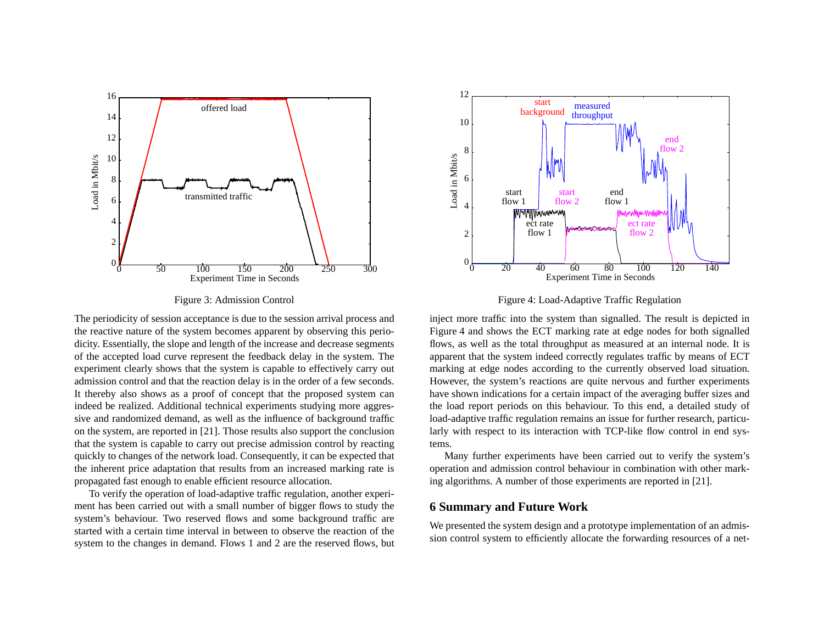<span id="page-8-0"></span>

Figure 3: Admission Control

The periodicity of session acceptance is due to the session arrival process and the reactive nature of the system becomes apparen<sup>t</sup> by observing this periodicity. Essentially, the slope and length of the increase and decrease segments of the accepted load curve represen<sup>t</sup> the feedback delay in the system. The experiment clearly shows that the system is capable to effectively carry out admission control and that the reaction delay is in the order of <sup>a</sup> few seconds. It thereby also shows as <sup>a</sup> proof of concep<sup>t</sup> that the proposed system can indeed be realized. Additional technical experiments studying more aggressive and randomized demand, as well as the influence of background traffic on the system, are reported in [21]. Those results also suppor<sup>t</sup> the conclusion that the system is capable to carry out precise admission control by reacting quickly to changes of the network load. Consequently, it can be expected that the inherent price adaptation that results from an increased marking rate is propagated fast enough to enable efficient resource allocation.

To verify the operation of load-adaptive traffic regulation, another experiment has been carried out with <sup>a</sup> small number of bigger flows to study the system's behaviour. Two reserved flows and some background traffic are started with <sup>a</sup> certain time interval in between to observe the reaction of thesystem to the changes in demand. Flows 1 and 2 are the reserved flows, but



Figure 4: Load-Adaptive Traffic Regulation

inject more traffic into the system than signalled. The result is depicted in Figure 4 and shows the ECT marking rate at edge nodes for both signalled flows, as well as the total throughput as measured at an internal node. It is apparen<sup>t</sup> that the system indeed correctly regulates traffic by means of ECT marking at edge nodes according to the currently observed load situation. However, the system's reactions are quite nervous and further experiments have shown indications for <sup>a</sup> certain impact of the averaging buffer sizes and the load repor<sup>t</sup> periods on this behaviour. To this end, <sup>a</sup> detailed study of load-adaptive traffic regulation remains an issue for further research, particularly with respec<sup>t</sup> to its interaction with TCP-like flow control in end systems.

Many further experiments have been carried out to verify the system's operation and admission control behaviour in combination with other marking algorithms. A number of those experiments are reported in [21].

# **6 Summary and Future Work**

We presented the system design and <sup>a</sup> prototype implementation of an admission control system to efficiently allocate the forwarding resources of <sup>a</sup> net-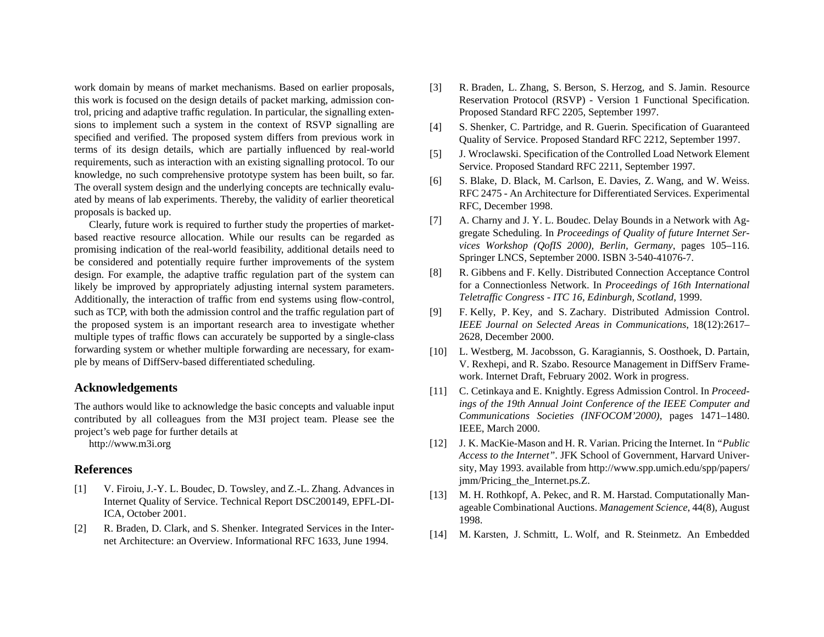work domain by means of market mechanisms. Based on earlier proposals, this work is focused on the design details of packet marking, admission control, pricing and adaptive traffic regulation. In particular, the signalling extensions to implement such <sup>a</sup> system in the context of RSVP signalling are specified and verified. The proposed system differs from previous work in terms of its design details, which are partially influenced by real-world requirements, such as interaction with an existing signalling protocol. To our knowledge, no such comprehensive prototype system has been built, so far. The overall system design and the underlying concepts are technically evaluated by means of lab experiments. Thereby, the validity of earlier theoretical proposals is backed up.

Clearly, future work is required to further study the properties of marketbased reactive resource allocation. While our results can be regarded as promising indication of the real-world feasibility, additional details need to be considered and potentially require further improvements of the system design. For example, the adaptive traffic regulation par<sup>t</sup> of the system can likely be improved by appropriately adjusting internal system parameters. Additionally, the interaction of traffic from end systems using flow-control, such as TCP, with both the admission control and the traffic regulation par<sup>t</sup> of the proposed system is an important research area to investigate whether multiple types of traffic flows can accurately be supported by <sup>a</sup> single-class forwarding system or whether multiple forwarding are necessary, for example by means of DiffServ-based differentiated scheduling.

# **Acknowledgements**

The authors would like to acknowledge the basic concepts and valuable input contributed by all colleagues from the M3I project team. Please see the project's web page for further details at

http://www.m3i.org

# **References**

- [1] V. Firoiu, J.-Y. L. Boudec, D. Towsley, and Z.-L. Zhang. Advances in Internet Quality of Service. Technical Report DSC200149, EPFL-DI-ICA, October 2001.
- [2] R. Braden, D. Clark, and S. Shenker. Integrated Services in the Internet Architecture: an Overview. Informational RFC 1633, June 1994.
- [3] R. Braden, L. Zhang, S. Berson, S. Herzog, and S. Jamin. Resource Reservation Protocol (RSVP) - Version 1 Functional Specification. Proposed Standard RFC 2205, September 1997.
- [4] S. Shenker, C. Partridge, and R. Guerin. Specification of Guaranteed Quality of Service. Proposed Standard RFC 2212, September 1997.
- [5] J. Wroclawski. Specification of the Controlled Load Network Element Service. Proposed Standard RFC 2211, September 1997.
- [6] S. Blake, D. Black, M. Carlson, E. Davies, Z. Wang, and W. Weiss. RFC 2475 - An Architecture for Differentiated Services. Experimental RFC, December 1998.
- [7] A. Charny and J. Y. L. Boudec. Delay Bounds in a Network with Aggregate Scheduling. In *Proceedings of Quality of future Internet Services Workshop (QofIS 2000), Berlin, Germany*, pages 105–116. Springer LNCS, September 2000. ISBN 3-540-41076-7.
- [8] R. Gibbens and F. Kelly. Distributed Connection Acceptance Control for <sup>a</sup> Connectionless Network. In *Proceedings of 16th International Teletraffic Congress - ITC 16, Edinburgh, Scotland*, 1999.
- [9] F. Kelly, P. Key, and S. Zachary. Distributed Admission Control. *IEEE Journal on Selected Areas in Communications*, 18(12):2617– 2628, December 2000.
- [10] L. Westberg, M. Jacobsson, G. Karagiannis, S. Oosthoek, D. Partain, V. Rexhepi, and R. Szabo. Resource Management in DiffServ Framework. Internet Draft, February 2002. Work in progress.
- [11] C. Cetinkaya and E. Knightly. Egress Admission Control. In *Proceed*ings of the 19th Annual Joint Conference of the IEEE Computer and *Communications Societies (INFOCOM'2000)*, pages 1471–1480. IEEE, March 2000.
- [12] J. K. MacKie-Mason and H. R. Varian. Pricing the Internet. In *"Public Access to the Internet"*. JFK School of Government, Harvard University, May 1993. available from http://www.spp.umich.edu/spp/papers/ jmm/Pricing\_the\_Internet.ps.Z.
- [13] M. H. Rothkopf, A. Pekec, and R. M. Harstad. Computationally Manageable Combinational Auctions. *Management Science*, 44(8), August 1998.
- [14] M. Karsten, J. Schmitt, L. Wolf, and R. Steinmetz. An Embedded